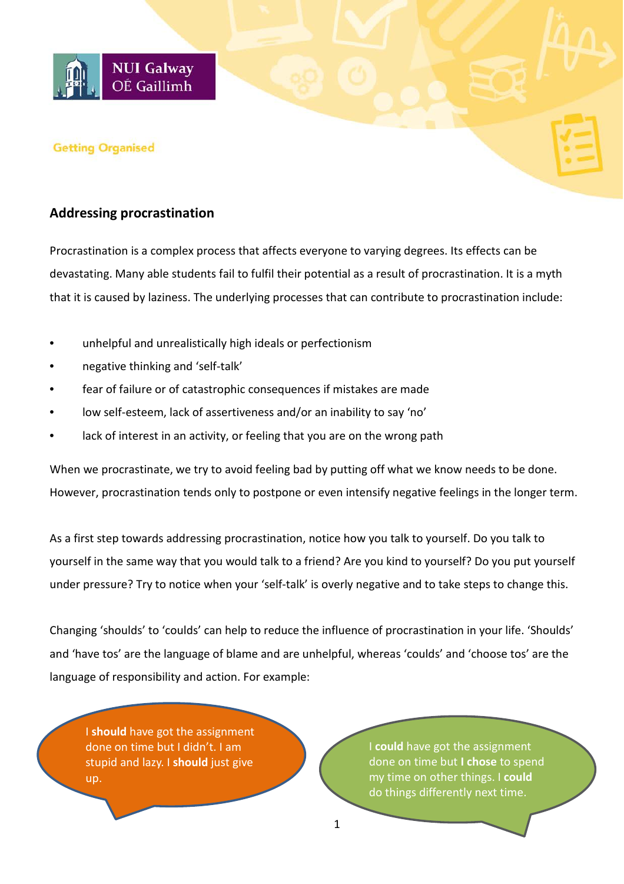

## **Getting Organised**

## **Addressing procrastination**

Procrastination is a complex process that affects everyone to varying degrees. Its effects can be devastating. Many able students fail to fulfil their potential as a result of procrastination. It is a myth that it is caused by laziness. The underlying processes that can contribute to procrastination include:

- unhelpful and unrealistically high ideals or perfectionism
- negative thinking and 'self-talk'
- fear of failure or of catastrophic consequences if mistakes are made
- low self-esteem, lack of assertiveness and/or an inability to say 'no'
- lack of interest in an activity, or feeling that you are on the wrong path

When we procrastinate, we try to avoid feeling bad by putting off what we know needs to be done. However, procrastination tends only to postpone or even intensify negative feelings in the longer term.

As a first step towards addressing procrastination, notice how you talk to yourself. Do you talk to yourself in the same way that you would talk to a friend? Are you kind to yourself? Do you put yourself under pressure? Try to notice when your 'self-talk' is overly negative and to take steps to change this.

Changing 'shoulds' to 'coulds' can help to reduce the influence of procrastination in your life. 'Shoulds' and 'have tos' are the language of blame and are unhelpful, whereas 'coulds' and 'choose tos' are the language of responsibility and action. For example:

I **should** have got the assignment done on time but I didn't. I am stupid and lazy. I **should** just give up.

I **could** have got the assignment done on time but **I chose** to spend my time on other things. I **could** do things differently next time.

1